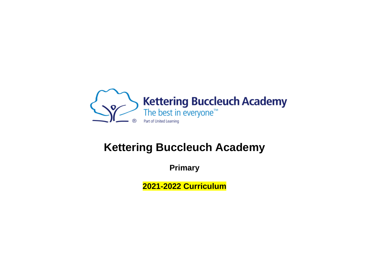

## **Kettering Buccleuch Academy**

**Primary**

**2021-2022 Curriculum**

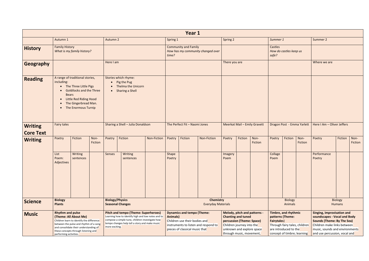|                                    |                                                                                                                                                                                                                                                     |                                                                                                                                                                      |  |                |                                                                                                                                                                                                        |                    |                 | Year 1                                                                                               |                                               |                 |                                                                                                                                                                              |                              |                    |                                                                          |                                                              |                                                                                                                                                                                                   |                          |                 |
|------------------------------------|-----------------------------------------------------------------------------------------------------------------------------------------------------------------------------------------------------------------------------------------------------|----------------------------------------------------------------------------------------------------------------------------------------------------------------------|--|----------------|--------------------------------------------------------------------------------------------------------------------------------------------------------------------------------------------------------|--------------------|-----------------|------------------------------------------------------------------------------------------------------|-----------------------------------------------|-----------------|------------------------------------------------------------------------------------------------------------------------------------------------------------------------------|------------------------------|--------------------|--------------------------------------------------------------------------|--------------------------------------------------------------|---------------------------------------------------------------------------------------------------------------------------------------------------------------------------------------------------|--------------------------|-----------------|
|                                    | Autumn 1                                                                                                                                                                                                                                            |                                                                                                                                                                      |  | Autumn 2       |                                                                                                                                                                                                        |                    | Spring 1        |                                                                                                      |                                               | Spring 2        |                                                                                                                                                                              |                              | Summer 1           |                                                                          |                                                              | Summer 2                                                                                                                                                                                          |                          |                 |
| <b>History</b>                     | <b>Family History</b>                                                                                                                                                                                                                               | What is my family history?                                                                                                                                           |  |                |                                                                                                                                                                                                        |                    | time?           | <b>Community and Family</b>                                                                          | How has my community changed over             |                 |                                                                                                                                                                              |                              | Castles<br>safe?   | How do castles keep us                                                   |                                                              |                                                                                                                                                                                                   |                          |                 |
| Geography                          |                                                                                                                                                                                                                                                     |                                                                                                                                                                      |  | Here I am      |                                                                                                                                                                                                        |                    |                 |                                                                                                      |                                               | There you are   |                                                                                                                                                                              |                              |                    |                                                                          |                                                              | Where we are                                                                                                                                                                                      |                          |                 |
| <b>Reading</b>                     | including:<br>$\bullet$<br><b>Bears</b><br>$\bullet$                                                                                                                                                                                                | A range of traditional stories,<br>The Three Little Pigs<br><b>Goldilocks and the Three</b><br>Little Red Riding Hood<br>The Gingerbread Man.<br>The Enormous Turnip |  |                | Stories which rhyme:<br>• Pig the Pug<br>• Thelma the Unicorn<br>• Sharing a Shell                                                                                                                     |                    |                 |                                                                                                      |                                               |                 |                                                                                                                                                                              |                              |                    |                                                                          |                                                              |                                                                                                                                                                                                   |                          |                 |
| <b>Writing</b><br><b>Core Text</b> | <b>Fairy tales</b>                                                                                                                                                                                                                                  |                                                                                                                                                                      |  |                | Sharing a Shell - Julia Donaldson                                                                                                                                                                      |                    |                 | The Perfect Fit - Naomi Jones                                                                        |                                               |                 |                                                                                                                                                                              | Meerkat Mail - Emily Gravett |                    |                                                                          | Dragon Post - Emma Yarlett                                   | Here I Am - Oliver Jeffers                                                                                                                                                                        |                          |                 |
| <b>Writing</b>                     | Fiction<br>Non-<br>Poetry<br>Fiction                                                                                                                                                                                                                |                                                                                                                                                                      |  | Poetry         | Fiction                                                                                                                                                                                                | <b>Non-Fiction</b> | Poetry          | Fiction                                                                                              | Non-Fiction                                   | Poetry          | Fiction                                                                                                                                                                      | Non-<br>Fiction              | Poetry             | Fiction                                                                  | Non-<br>Fiction                                              | Poetry                                                                                                                                                                                            | Fiction                  | Non-<br>Fiction |
|                                    | List<br>Poem:<br>Adjectives                                                                                                                                                                                                                         | Writing<br>sentences                                                                                                                                                 |  | Senses         | Writing<br>sentences                                                                                                                                                                                   |                    | Shape<br>Poetry |                                                                                                      |                                               | Imagery<br>Poem |                                                                                                                                                                              |                              | Collage<br>Poem    |                                                                          |                                                              | Performance<br>Poetry                                                                                                                                                                             |                          |                 |
| <b>Science</b>                     | <b>Biology</b><br><b>Plants</b>                                                                                                                                                                                                                     |                                                                                                                                                                      |  |                | <b>Biology/Physics</b><br><b>Seasonal Changes</b>                                                                                                                                                      |                    |                 |                                                                                                      | <b>Chemistry</b><br><b>Everyday Materials</b> |                 |                                                                                                                                                                              |                              |                    | <b>Biology</b><br>Animals                                                |                                                              |                                                                                                                                                                                                   | <b>Biology</b><br>Humans |                 |
| <b>Music</b>                       | <b>Rhythm and pulse</b><br>(Theme: All About Me)<br>Children learn to identify the difference<br>between the pulse and rhythm of a song<br>and consolidate their understanding of<br>these concepts through listening and<br>performing activities. |                                                                                                                                                                      |  | more exciting. | <b>Pitch and tempo (Theme: Superheroes)</b><br>Learning how to identify high and low notes and to<br>compose a simple tune, children investigate how<br>tempo changes help tell a story and make music |                    | Animals)        | <b>Dynamics and tempo (Theme:</b><br>Children use their bodies and<br>pieces of classical music that | instruments to listen and respond to          |                 | Melody, pitch and patterns -<br><b>Chanting and tuned</b><br>percussion (Theme: Space)<br>Children journey into the<br>unknown and explore space<br>through music, movement, |                              | <b>Fairytales)</b> | <b>Timbre, and rhythmic</b><br>patterns (Theme:<br>are introduced to the | Through fairy tales, children<br>concept of timbre; learning | Singing, improvisation and<br>soundscapes - Vocal and Body<br><b>Sounds (Theme: By The Sea)</b><br>Children make links between<br>music, sounds and environments<br>and use percussion, vocal and |                          |                 |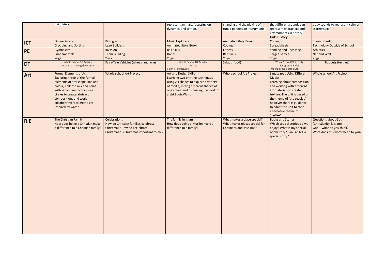|            | Link: History                                                                                                                                                                                                                                                                     |                                                                                                                                         | represent animals, focussing on<br>dynamics and tempo.                                                                                                                                                    | chanting and the playing of<br>tuned percussion instruments.                                   | that different sounds can<br>represent characters and                                                                                                                                                                                                                                            | body sounds to represent calm or<br>stormy seas                                                                      |
|------------|-----------------------------------------------------------------------------------------------------------------------------------------------------------------------------------------------------------------------------------------------------------------------------------|-----------------------------------------------------------------------------------------------------------------------------------------|-----------------------------------------------------------------------------------------------------------------------------------------------------------------------------------------------------------|------------------------------------------------------------------------------------------------|--------------------------------------------------------------------------------------------------------------------------------------------------------------------------------------------------------------------------------------------------------------------------------------------------|----------------------------------------------------------------------------------------------------------------------|
|            |                                                                                                                                                                                                                                                                                   |                                                                                                                                         |                                                                                                                                                                                                           |                                                                                                | key moments in a story.<br><b>Link: History</b>                                                                                                                                                                                                                                                  |                                                                                                                      |
| <b>ICT</b> | <b>Online Safety</b><br><b>Grouping and Sorting</b>                                                                                                                                                                                                                               | Pictograms<br>Lego Builders                                                                                                             | <b>Music Explorers</b><br><b>Animated Story Books</b>                                                                                                                                                     | <b>Animated Story Books</b><br>Coding                                                          | Coding<br>Spreadsheets                                                                                                                                                                                                                                                                           | Spreadsheets<br><b>Technology Outside of School</b>                                                                  |
| <b>PE</b>  | Gymnastics<br><b>Fundamentals</b><br>Yoga                                                                                                                                                                                                                                         | Invasion<br><b>Team Building</b><br>Yoga                                                                                                | <b>Ball Skills</b><br>Dance<br>Yoga                                                                                                                                                                       | Fitness<br><b>Ball Skills</b><br>Yoga                                                          | <b>Sending and Receiving</b><br><b>Target Games</b><br>Yoga                                                                                                                                                                                                                                      | <b>Athletics</b><br>Net and Wall<br>Yoga                                                                             |
| <b>DT</b>  | Whole School DT Activity:<br>Making a hanging decoration                                                                                                                                                                                                                          | Fairy-Tale Vehicles (wheels and axles)                                                                                                  | Whole School DT Activity:<br>Purses<br>(Fabric - structures)                                                                                                                                              | Salads (food)                                                                                  | Whole School DT Activity:<br><b>Fairground Rides</b><br>(Mechanisms & Structures)                                                                                                                                                                                                                | <b>Puppets (textiles)</b>                                                                                            |
| Art        | <b>Formal Elements of Art</b><br>Exploring three of the formal<br>elements of art: shape, line and<br>colour, children mix and paint<br>with secondary colours; use<br>circles to create abstract<br>compositions and work<br>collaboratively to create art<br>inspired by water. | Whole school Art Project                                                                                                                | Art and Design Skills<br>Learning two printing techniques,<br>using 2D shapes to explore a variety<br>of media, mixing different shades of<br>one colour and discussing the work of<br>artist Louis Wain. | Whole school Art Project                                                                       | <b>Landscapes Using Different</b><br>Media<br>Learning about composition<br>and working with different<br>art materials to create<br>texture. The unit is based on<br>the theme of 'the seaside'<br>however there is guidance<br>to adapt the unit to then<br>alternative theme of<br>'castles'. | Whole school Art Project                                                                                             |
| R.E        | The Christian Family<br>How does being a Christian make<br>a difference to a Christian family?                                                                                                                                                                                    | <b>Celebrations</b><br>How do Christian families celebrate<br>Christmas? How do I celebrate<br>Christmas? Is Christmas important to me? | The family in Islam<br>How does being a Muslim make a<br>difference to a family?                                                                                                                          | What makes a place special?<br>What makes places special for<br><b>Christians and Muslims?</b> | <b>Books and Stories</b><br>Which special stories do we<br>enjoy? What is my special<br>book/story? Can I re-tell a<br>special story?                                                                                                                                                            | <b>Questions about God</b><br>(Christianity & Islam)<br>God - what do you think?<br>What does this word mean to you? |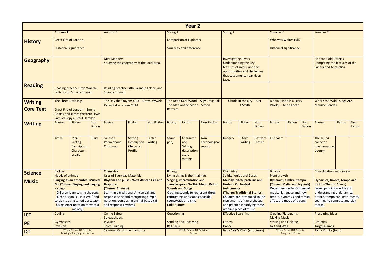|                  |                                                                                                                                                                                                                                                                                  |                                                                                                                   |                        |                                                                                                                                                                                                                                                                                 |                                                       |                    |                      | Year 2                                                                                                                                                                                            |                                       |                                                                                                                                                                                                                                                                      |                                             |                       |                                                                                                                                                                                                     |                           |                        |                                                                                                                                                                                             |         |                        |
|------------------|----------------------------------------------------------------------------------------------------------------------------------------------------------------------------------------------------------------------------------------------------------------------------------|-------------------------------------------------------------------------------------------------------------------|------------------------|---------------------------------------------------------------------------------------------------------------------------------------------------------------------------------------------------------------------------------------------------------------------------------|-------------------------------------------------------|--------------------|----------------------|---------------------------------------------------------------------------------------------------------------------------------------------------------------------------------------------------|---------------------------------------|----------------------------------------------------------------------------------------------------------------------------------------------------------------------------------------------------------------------------------------------------------------------|---------------------------------------------|-----------------------|-----------------------------------------------------------------------------------------------------------------------------------------------------------------------------------------------------|---------------------------|------------------------|---------------------------------------------------------------------------------------------------------------------------------------------------------------------------------------------|---------|------------------------|
|                  | Autumn 1                                                                                                                                                                                                                                                                         |                                                                                                                   |                        | Autumn <sub>2</sub>                                                                                                                                                                                                                                                             |                                                       |                    | Spring 1             |                                                                                                                                                                                                   |                                       | <b>Spring 2</b>                                                                                                                                                                                                                                                      |                                             |                       | Summer 1                                                                                                                                                                                            |                           |                        | Summer 2                                                                                                                                                                                    |         |                        |
| <b>History</b>   | <b>Great Fire of London</b>                                                                                                                                                                                                                                                      |                                                                                                                   |                        |                                                                                                                                                                                                                                                                                 |                                                       |                    |                      | <b>Comparison of Explorers</b>                                                                                                                                                                    |                                       |                                                                                                                                                                                                                                                                      |                                             |                       | Who was Walter Tull?                                                                                                                                                                                |                           |                        |                                                                                                                                                                                             |         |                        |
|                  |                                                                                                                                                                                                                                                                                  | <b>Historical significance</b>                                                                                    |                        |                                                                                                                                                                                                                                                                                 |                                                       |                    |                      | <b>Similarity and difference</b>                                                                                                                                                                  |                                       |                                                                                                                                                                                                                                                                      |                                             |                       | <b>Historical significance</b>                                                                                                                                                                      |                           |                        |                                                                                                                                                                                             |         |                        |
| <b>Geography</b> |                                                                                                                                                                                                                                                                                  |                                                                                                                   |                        | <b>Mini Mappers</b><br>Studying the geography of the local area.                                                                                                                                                                                                                |                                                       |                    |                      |                                                                                                                                                                                                   |                                       | <b>Investigating Rivers</b><br>Understanding the key<br>features of rivers, and the<br>opportunities and challenges<br>that settlements near rivers<br>face.                                                                                                         |                                             |                       |                                                                                                                                                                                                     |                           |                        | <b>Hot and Cold Deserts</b><br>Comparing the features of the<br>Sahara and Antarctica.                                                                                                      |         |                        |
| <b>Reading</b>   |                                                                                                                                                                                                                                                                                  | <b>Reading practice Little Wandle</b><br><b>Letters and Sounds Revised</b>                                        |                        | Reading practice Little Wandle Letters and<br><b>Sounds Revised</b>                                                                                                                                                                                                             |                                                       |                    |                      |                                                                                                                                                                                                   |                                       |                                                                                                                                                                                                                                                                      |                                             |                       |                                                                                                                                                                                                     |                           |                        |                                                                                                                                                                                             |         |                        |
| <b>Writing</b>   | The Three Little Pigs                                                                                                                                                                                                                                                            |                                                                                                                   |                        | The Day the Crayons Quit - Drew Daywelt<br>Pesky Rat - Lauren Child                                                                                                                                                                                                             |                                                       |                    |                      | The Man on the Moon - Simon                                                                                                                                                                       | The Deep Dark Wood - Algy Craig Hall  |                                                                                                                                                                                                                                                                      | Claude in the City $-$ Alex<br>T.Smith      |                       | <b>Bloom (Hope in a Scary</b><br>World) - Anne Booth                                                                                                                                                |                           |                        | Where the Wild Things Are -<br><b>Maurice Sendak</b>                                                                                                                                        |         |                        |
| <b>Core Text</b> |                                                                                                                                                                                                                                                                                  | <b>Great Fire of London - Emma</b><br><b>Adams and James Western Lewis</b><br><b>Samuel Pepys - Paul Harrison</b> |                        |                                                                                                                                                                                                                                                                                 |                                                       |                    | <b>Bartram</b>       |                                                                                                                                                                                                   |                                       |                                                                                                                                                                                                                                                                      |                                             |                       |                                                                                                                                                                                                     |                           |                        |                                                                                                                                                                                             |         |                        |
| <b>Writing</b>   | Poetry                                                                                                                                                                                                                                                                           | <b>Fiction</b>                                                                                                    | Non-<br><b>Fiction</b> | Poetry                                                                                                                                                                                                                                                                          | Fiction                                               | <b>Non-Fiction</b> | Poetry               | Fiction                                                                                                                                                                                           | <b>Non-Fiction</b>                    | Poetry                                                                                                                                                                                                                                                               | Non-<br>Fiction<br>Poetry<br><b>Fiction</b> |                       |                                                                                                                                                                                                     | Fiction                   | Non-<br><b>Fiction</b> | Poetry                                                                                                                                                                                      | Fiction | Non-<br><b>Fiction</b> |
|                  | simile                                                                                                                                                                                                                                                                           | Menu<br><b>Setting</b><br><b>Description</b><br>Character<br>profile                                              | <b>Diary</b>           | Acrostic<br>Poem about<br>Christmas                                                                                                                                                                                                                                             | <b>Setting</b><br>Description<br>Character<br>Profile | Letter<br>writing  | <b>Shape</b><br>poe, | Character<br>and<br><b>Setting</b><br>description<br>Story<br>writing                                                                                                                             | Non-<br>chronological<br>report       | Imagery                                                                                                                                                                                                                                                              | Story<br>writing                            | Postcard  <br>Leaflet | List poem                                                                                                                                                                                           |                           |                        | The sound<br>collector<br>(performance<br>poetry)                                                                                                                                           |         |                        |
| <b>Science</b>   | <b>Biology</b>                                                                                                                                                                                                                                                                   |                                                                                                                   |                        | Chemistry                                                                                                                                                                                                                                                                       |                                                       |                    | <b>Biology</b>       |                                                                                                                                                                                                   |                                       | Chemistry                                                                                                                                                                                                                                                            |                                             |                       | <b>Biology</b>                                                                                                                                                                                      |                           |                        | <b>Consolidation and review</b>                                                                                                                                                             |         |                        |
| <b>Music</b>     | <b>Needs of animals</b><br><b>Singing as an ensemble- Musical</b><br><b>Me (Theme: Singing and playing</b><br>a song)<br>Children learn to sing the song<br>'Once a Man Fell in a Well' and<br>to play it using tuned percussion.<br>Using letter notation to write a<br>melody. |                                                                                                                   |                        | <b>Uses of Everyday Materials</b><br><b>Rhythm and pulse - West African Call and</b><br><b>Response</b><br>(Theme: Animals)<br>Learning a traditional African call and<br>response song and recognising simple<br>notation. Composing animal-based call<br>and response rhythms |                                                       |                    | <b>Link: History</b> | Living things & their habitats<br><b>Singing, improvisation and</b><br><b>Sounds and Songs</b><br>Creating sounds to represent three<br>contrasting landscapes: seaside,<br>countryside and city. | soundscapes - On This Island: British | Solids, liquids and Gases<br>Melody, pitch, patterns and<br>timbre - Orchestral<br><b>instruments</b><br>(Theme: Traditional Stories)<br>Children are introduced to the<br>instruments of the orchestra<br>and practice identifying these<br>within a piece of music |                                             |                       | Plant growth<br><b>Dynamics, timbre, tempo</b><br>(Theme: Myths and legends)<br>Developing understanding of<br>musical language and how<br>timbre, dynamics and tempo<br>affect the mood of a song. |                           |                        | Dynamics, timbre, tempo and<br>motifs (Theme: Space)<br>Developing knowledge and<br>understanding of dynamics,<br>timbre, tempo and instruments.<br>Learning to compose and play<br>motifs. |         |                        |
| <b>ICT</b>       | Coding                                                                                                                                                                                                                                                                           |                                                                                                                   |                        | <b>Online Safety</b><br>Spreadsheets                                                                                                                                                                                                                                            |                                                       |                    | Questioning          |                                                                                                                                                                                                   |                                       | <b>Effective Searching</b>                                                                                                                                                                                                                                           |                                             |                       | <b>Creating Pictograms</b><br><b>Making Music</b>                                                                                                                                                   |                           |                        | <b>Presenting Ideas</b>                                                                                                                                                                     |         |                        |
| <b>PE</b>        | Gymnastics                                                                                                                                                                                                                                                                       |                                                                                                                   |                        | Invasion                                                                                                                                                                                                                                                                        |                                                       |                    |                      | <b>Sending and Receiving</b>                                                                                                                                                                      |                                       | <b>Fitness</b>                                                                                                                                                                                                                                                       |                                             |                       | <b>Striking and Fielding</b>                                                                                                                                                                        |                           |                        | <b>Athletics</b>                                                                                                                                                                            |         |                        |
|                  | Invasion                                                                                                                                                                                                                                                                         | Whole School DT Activity:                                                                                         |                        | <b>Team Building</b><br><b>Seasonal Cards (mechanisms)</b>                                                                                                                                                                                                                      |                                                       |                    | <b>Ball Skills</b>   | Whole School DT Activity:                                                                                                                                                                         |                                       | Dance<br><b>Baby Bear's Chair (structures)</b>                                                                                                                                                                                                                       |                                             |                       | <b>Net and Wall</b>                                                                                                                                                                                 | Whole School DT Activity: |                        | <b>Target Games</b><br><b>Picnic Drinks (food)</b>                                                                                                                                          |         |                        |
| DT               |                                                                                                                                                                                                                                                                                  | Making a hanging decoration                                                                                       |                        |                                                                                                                                                                                                                                                                                 |                                                       |                    |                      | Purses                                                                                                                                                                                            |                                       |                                                                                                                                                                                                                                                                      |                                             |                       |                                                                                                                                                                                                     | <b>Fairground Rides</b>   |                        |                                                                                                                                                                                             |         |                        |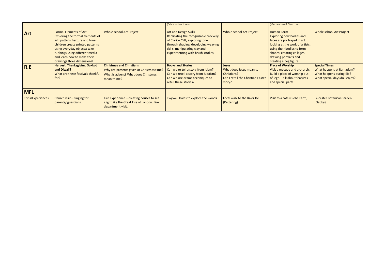|                          |                                                                                                                                                                                                                                                                          |                                                                                                                                    | (Fabric - structures)                                                                                                                                                                                                  |                                                                                                       | (Mechanisms & Structures)                                                                                                                                                                                                             |                                                                                                               |
|--------------------------|--------------------------------------------------------------------------------------------------------------------------------------------------------------------------------------------------------------------------------------------------------------------------|------------------------------------------------------------------------------------------------------------------------------------|------------------------------------------------------------------------------------------------------------------------------------------------------------------------------------------------------------------------|-------------------------------------------------------------------------------------------------------|---------------------------------------------------------------------------------------------------------------------------------------------------------------------------------------------------------------------------------------|---------------------------------------------------------------------------------------------------------------|
| <b>Art</b>               | <b>Formal Elements of Art</b><br>Exploring the formal elements of<br>art: pattern, texture and tone;<br>children create printed patterns<br>using everyday objects; take<br>rubbings using different media<br>and learn how to make their<br>drawings three dimensional. | <b>Whole school Art Project</b>                                                                                                    | <b>Art and Design Skills</b><br>Replicating the recognisable crockery<br>of Clarice Cliff, exploring tone<br>through shading, developing weaving<br>skills, manipulating clay and<br>experimenting with brush strokes. | <b>Whole school Art Project</b>                                                                       | <b>Human Form</b><br><b>Exploring how bodies and</b><br>faces are portrayed in art:<br>looking at the work of artists,<br>using their bodies to form<br>shapes, creating collages,<br>drawing portraits and<br>creating a peg figure. | <b>Whole school Art Project</b>                                                                               |
| R.E                      | <b>Harvest, Thanksgiving, Sukkot</b><br>and Diwali?<br>What are these festivals thankful<br>for?                                                                                                                                                                         | <b>Christmas and Christians</b><br>Why are presents given at Christmas time?<br>What is advent? What does Christmas<br>mean to me? | <b>Books and Stories</b><br>Can we re-tell a story from Islam?<br>Can we retell a story from Judaism?<br>Can we use drama techniques to<br>retell these stories?                                                       | <b>Jesus</b><br>What does Jesus mean to<br>Christians?<br>Can I retell the Christian Easter<br>story? | <b>Place of Worship</b><br>Visit a mosque and a church.<br>Build a place of worship out<br>of lego. Talk about features<br>and special parts.                                                                                         | <b>Special Times</b><br>What happens at Ramadam?<br>What happens during Eid?<br>What special days do I enjoy? |
| <b>MFL</b>               |                                                                                                                                                                                                                                                                          |                                                                                                                                    |                                                                                                                                                                                                                        |                                                                                                       |                                                                                                                                                                                                                                       |                                                                                                               |
| <b>Trips/Experiences</b> | Church visit - singing for<br>parents/ guardians.                                                                                                                                                                                                                        | Fire experience - creating houses to set<br>alight like the Great Fire of London. Fire<br>department visit.                        | Twywell Dales to explore the woods.                                                                                                                                                                                    | Local walk to the River Ise<br>(Kettering)                                                            | Visit to a café (Glebe Farm)                                                                                                                                                                                                          | Leicester Botanical Garden<br>(Oadby)                                                                         |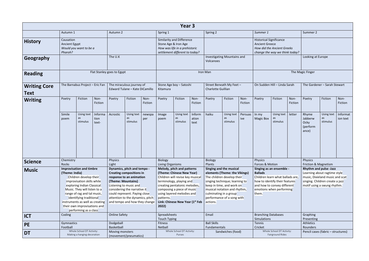|                             |                                                                                                                                                                                                                                                                                                                                                     |                                 |                          |                            |                                                                                                                                                                                                                                                            |                    |                                                  | Year 3                                                                                                                                                                                                                    |                                    |                                                                                                                                                                                                                                                           |                              |                   |                                                                                                                                                                                      |                                               |                       |                                               |                                                                                                                                                                    |                      |
|-----------------------------|-----------------------------------------------------------------------------------------------------------------------------------------------------------------------------------------------------------------------------------------------------------------------------------------------------------------------------------------------------|---------------------------------|--------------------------|----------------------------|------------------------------------------------------------------------------------------------------------------------------------------------------------------------------------------------------------------------------------------------------------|--------------------|--------------------------------------------------|---------------------------------------------------------------------------------------------------------------------------------------------------------------------------------------------------------------------------|------------------------------------|-----------------------------------------------------------------------------------------------------------------------------------------------------------------------------------------------------------------------------------------------------------|------------------------------|-------------------|--------------------------------------------------------------------------------------------------------------------------------------------------------------------------------------|-----------------------------------------------|-----------------------|-----------------------------------------------|--------------------------------------------------------------------------------------------------------------------------------------------------------------------|----------------------|
|                             | Autumn 1                                                                                                                                                                                                                                                                                                                                            |                                 |                          | Autumn 2                   |                                                                                                                                                                                                                                                            |                    | Spring 1                                         |                                                                                                                                                                                                                           |                                    | Spring 2                                                                                                                                                                                                                                                  |                              |                   | Summer 1                                                                                                                                                                             |                                               |                       | Summer 2                                      |                                                                                                                                                                    |                      |
| <b>History</b>              | Causation<br><b>Ancient Egypt</b><br>Pharoh?                                                                                                                                                                                                                                                                                                        | Would you want to be a          |                          |                            |                                                                                                                                                                                                                                                            |                    | Stone Age & Iron Age                             | Similarity and Difference<br>How was life in a prehistoric<br>settlement different to today?                                                                                                                              |                                    |                                                                                                                                                                                                                                                           |                              |                   | <b>Historical Significance</b><br><b>Ancient Greece</b><br>How did the Ancient Greeks<br>change the way we think today?                                                              |                                               |                       |                                               |                                                                                                                                                                    |                      |
| Geography                   |                                                                                                                                                                                                                                                                                                                                                     |                                 |                          | The U.K                    |                                                                                                                                                                                                                                                            |                    |                                                  |                                                                                                                                                                                                                           |                                    | Investigating Mountains and<br>Volcanoes                                                                                                                                                                                                                  |                              |                   |                                                                                                                                                                                      |                                               |                       | Looking at Europe                             |                                                                                                                                                                    |                      |
| <b>Reading</b>              |                                                                                                                                                                                                                                                                                                                                                     |                                 |                          | Flat Stanley goes to Egypt |                                                                                                                                                                                                                                                            |                    |                                                  |                                                                                                                                                                                                                           |                                    | Iron Man                                                                                                                                                                                                                                                  |                              |                   |                                                                                                                                                                                      |                                               |                       | The Magic Finger                              |                                                                                                                                                                    |                      |
| <b>Writing Core</b><br>Text |                                                                                                                                                                                                                                                                                                                                                     | The Barnabus Project - Eric Fan |                          |                            | The miraculous journey of<br>Edward Tulane - Kate DiCamillo                                                                                                                                                                                                |                    | Stone Age boy - Satoshi<br>Kitamura              |                                                                                                                                                                                                                           |                                    | Street Beneath My Feet -<br>Charlotte Guillian                                                                                                                                                                                                            |                              |                   | On Sudden Hill - Linda Sarah                                                                                                                                                         |                                               |                       |                                               | The Gardener - Sarah Stewart                                                                                                                                       |                      |
| <b>Writing</b>              | Fiction<br>Fiction<br>Fiction<br>Non-<br>Poetry<br>Non-<br>Poetry<br>Non-<br>Poetry<br>Fiction<br>Poetry<br>Fiction<br>Fiction<br>Fiction                                                                                                                                                                                                           |                                 | Non-<br>Fiction          | Poetry                     | Fiction                                                                                                                                                                                                                                                    | Non-<br>Fiction    | Poetry                                           | Fiction                                                                                                                                                                                                                   | Non-<br>Fiction                    |                                                                                                                                                                                                                                                           |                              |                   |                                                                                                                                                                                      |                                               |                       |                                               |                                                                                                                                                                    |                      |
|                             | Simile<br>poem                                                                                                                                                                                                                                                                                                                                      | Using text<br>as<br>stimulus    | Informa<br>tion<br>text- | Acrostic                   | Using text<br>as<br>stimulus                                                                                                                                                                                                                               | newspa<br>per      | Image<br>poem                                    | Using text<br>as<br>stimulus                                                                                                                                                                                              | Inform<br>ation<br>text            | haiku                                                                                                                                                                                                                                                     | Using text<br>as<br>stimulus | Persuas<br>ive    | In my<br><b>Magic Box</b>                                                                                                                                                            | Using text<br>as<br>stimulus                  | letter                | Rhyme<br>Jabberw<br>Ocky<br>(perform<br>ance) | Using text<br>as<br>stimulus                                                                                                                                       | Informat<br>ion text |
| <b>Science</b>              |                                                                                                                                                                                                                                                                                                                                                     |                                 |                          | Physics<br>Light           |                                                                                                                                                                                                                                                            |                    | Biology<br>Living Organisms                      |                                                                                                                                                                                                                           |                                    | Biology<br>Plants                                                                                                                                                                                                                                         |                              |                   | Physics<br>Forces & Motion                                                                                                                                                           |                                               |                       | Physics<br>Friction & Magnetism               |                                                                                                                                                                    |                      |
| <b>Music</b>                | Chemistry<br>Rocks<br><b>Improvisation and timbre</b><br>(Theme: India)<br>Children develop their<br>improvisation skills while<br>exploring Indian Classical<br>Music. They will listen to a<br>range of rag and tal music,<br>identifying traditional<br>instruments as well as creating<br>their own improvisations and<br>performing as a class |                                 |                          | (Theme: Mountains)         | Dynamics, pitch and tempo -<br><b>Creating compositions in</b><br>response to an animation<br>Listening to music and<br>considering the narrative it<br>could represent. Paying close<br>attention to the dynamics, pitch<br>and tempo and how they change |                    | using layered melodies and<br>patterns.<br>2022) | Melody, pitch and patterns<br>(Theme: Chinese New Year)<br>Children will revise key musical<br>terminology, playing and<br>creating pentatonic melodies,<br>composing a piece of music<br>Link: Chinese New Year (1st Feb |                                    | Singing and the musical<br>elements (Theme: the Vikings)<br>The children develop their<br>singing technique; learning to<br>keep in time, and work on<br>musical notation and rhythm,<br>culminating in a group<br>performance of a song with<br>actions. |                              |                   | Singing as an ensemble -<br><b>Ballads</b><br>Children learn what ballads are,<br>how to identify their features<br>and how to convey different<br>emotions when performing<br>them. |                                               |                       |                                               | <b>Rhythm and pulse -Jazz</b><br>Learning about ragtime style<br>music, Dixieland music and scat<br>singing. Children create a jazz<br>motif using a swung rhythm. |                      |
| <b>ICT</b>                  | Coding                                                                                                                                                                                                                                                                                                                                              |                                 |                          | <b>Online Safety</b>       |                                                                                                                                                                                                                                                            |                    | Spreadsheets<br><b>Touch Typing</b>              |                                                                                                                                                                                                                           |                                    | Email                                                                                                                                                                                                                                                     |                              |                   | <b>Branching Databases</b><br>Simulations                                                                                                                                            |                                               |                       | Graphing<br>Presenting                        |                                                                                                                                                                    |                      |
| <b>PE</b>                   | Gymnastics                                                                                                                                                                                                                                                                                                                                          |                                 | Dodgeball<br>Basketball  |                            |                                                                                                                                                                                                                                                            | Fitness<br>Netball |                                                  |                                                                                                                                                                                                                           | <b>Ball Skills</b><br>Fundamentals |                                                                                                                                                                                                                                                           |                              | Tennis<br>Cricket |                                                                                                                                                                                      |                                               | Athletics<br>Rounders |                                               |                                                                                                                                                                    |                      |
| <b>DT</b>                   | Football<br>Whole School DT Activity:<br>Making a hanging decoration                                                                                                                                                                                                                                                                                |                                 |                          | Moving monsters            | (movement/pneumatics)                                                                                                                                                                                                                                      |                    |                                                  | Whole School DT Activity:<br>Purses                                                                                                                                                                                       |                                    |                                                                                                                                                                                                                                                           | Sandwiches (food)            |                   |                                                                                                                                                                                      | Whole School DT Activity:<br>Fairground Rides |                       |                                               | Pencil cases (fabric - structures)                                                                                                                                 |                      |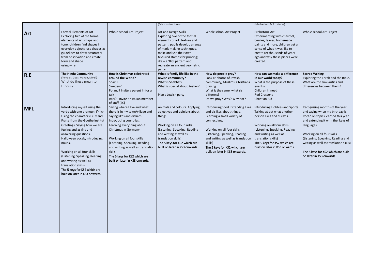|            |                                                                                                                                                                                                                                                                                                                                                                                                                                                     |                                                                                                                                                                                                                                                                                                                                                                 | (Fabric - structures)                                                                                                                                                                                                                                                          |                                                                                                                                                                                                                                                                                                  | (Mechanisms & Structures)                                                                                                                                                                                                                                                     |                                                                                                                                                                                                                                                                                                                                            |
|------------|-----------------------------------------------------------------------------------------------------------------------------------------------------------------------------------------------------------------------------------------------------------------------------------------------------------------------------------------------------------------------------------------------------------------------------------------------------|-----------------------------------------------------------------------------------------------------------------------------------------------------------------------------------------------------------------------------------------------------------------------------------------------------------------------------------------------------------------|--------------------------------------------------------------------------------------------------------------------------------------------------------------------------------------------------------------------------------------------------------------------------------|--------------------------------------------------------------------------------------------------------------------------------------------------------------------------------------------------------------------------------------------------------------------------------------------------|-------------------------------------------------------------------------------------------------------------------------------------------------------------------------------------------------------------------------------------------------------------------------------|--------------------------------------------------------------------------------------------------------------------------------------------------------------------------------------------------------------------------------------------------------------------------------------------------------------------------------------------|
| Art        | Formal Elements of Art<br>Exploring two of the formal<br>elements of art: shape and<br>tone; children find shapes in<br>everyday objects; use shapes as<br>guidelines to draw accurately<br>from observation and create<br>form and shape<br>using wire.                                                                                                                                                                                            | Whole school Art Project                                                                                                                                                                                                                                                                                                                                        | Art and Design Skills<br>Exploring two of the formal<br>elements of art: texture and<br>pattern; pupils develop a range<br>of mark-making techniques,<br>make and use their own<br>textured stamps for printing;<br>draw a 'flip' pattern and<br>recreate an ancient geometric | Whole school Art Project                                                                                                                                                                                                                                                                         | Prehistoric Art<br>Experimenting with charcoal,<br>berries, leaves, homemade<br>paints and more, children get a<br>sense of what it was like to<br>create art thousands of years<br>ago and why these pieces were<br>created.                                                 | Whole school Art Project                                                                                                                                                                                                                                                                                                                   |
| R.E        | <b>The Hindu Community</b><br>(Temples, Gods, Mandir, Diwali)<br>What do these mean to<br>Hindus?                                                                                                                                                                                                                                                                                                                                                   | <b>How is Christmas celebrated</b><br>around the World?<br>Spain?<br>Sweden?<br>Poland? Invite a parent in for a<br>talk<br>Italy? - Invite an Italian member<br>of staff (SC)                                                                                                                                                                                  | pattern.<br>What is family life like in the<br>Jewish community?<br>What is Shabbat?<br>What is special about Kosher?<br>Plan a Jewish party                                                                                                                                   | How do people pray?<br>Look at photos of Jewish<br>community, Muslims, Christians<br>praying.<br>What is the same, what sis<br>different?<br>Do we pray? Why? Why not?                                                                                                                           | How can we make a difference<br>in our world today?<br>What is the purpose of these<br>events?<br>Children in need<br><b>Red Crescent</b><br>Christian Aid                                                                                                                    | <b>Sacred Writing</b><br>Exploring the Torah and the Bible.<br>What are the similarities and<br>differences between them?                                                                                                                                                                                                                  |
| <b>MFL</b> | Introducing myself using the<br>verbs with one pronoun 'I' = Ich<br>Using the characters Felix and<br>Franzi from the Goethe Institut<br>Greetings, Saying how we are<br>feeling and asking and<br>answering questions.<br>Halloween vocab, introducing<br>nouns.<br>Working on all four skills<br>(Listening, Speaking, Reading<br>and writing as well as<br>translation skills)<br>The 5 keys for KS2 which are<br>built on later in KS3 onwards. | Saying where I live and what<br>there is in my town/village and<br>saying likes and dislikes.<br>Introducing countries.<br>Learning everything about<br>Christmas in Germany.<br>Working on all four skills<br>(Listening, Speaking, Reading<br>and writing as well as translation<br>skills)<br>The 5 keys for KS2 which are<br>built on later in KS3 onwards. | Animals and colours. Applying<br>adjectives and opinions about<br>things.<br>Working on all four skills<br>(Listening, Speaking, Reading<br>and writing as well as<br>translation skills)<br>The 5 keys for KS2 which are<br>built on later in KS3 onwards.                    | Introducing food. Extending likes<br>and dislikes about things.<br>Learning a small variety of<br>connectives.<br>Working on all four skills<br>(Listening, Speaking, Reading<br>and writing as well as translation<br>skills)<br>The 5 keys for KS2 which are<br>built on later in KS3 onwards. | Introducing Hobbies and Sports.<br>Talking about what another<br>person likes and dislikes.<br>Working on all four skills<br>(Listening, Speaking, Reading<br>and writing as well as<br>translation skills)<br>The 5 keys for KS2 which are<br>built on later in KS3 onwards. | Recognising months of the year<br>and saying when my birthday is.<br>Recap on topics learned this year<br>and extending it with the 'keys of<br>languages'.<br>Working on all four skills<br>(Listening, Speaking, Reading and<br>writing as well as translation skills)<br>The 5 keys for KS2 which are built<br>on later in KS3 onwards. |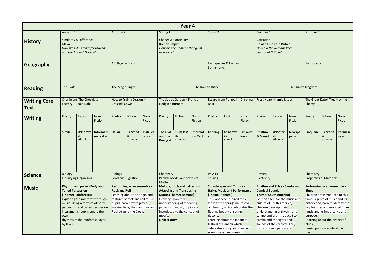|                                    |                                                                                                  |                                                                                                                                                                                                                                                                 |                          |                      |                                                                                                                                                                                             |                      |                                                       | Year 4                                                                                                                                                                                          |                      |                             |                                                                                                                                                                                                                                                                                                                                     |                            |                                  |                                                                                                                                                                                                                                                                                                               |                         |                                          |                                                                                                                                                                                                                                                                            |                    |
|------------------------------------|--------------------------------------------------------------------------------------------------|-----------------------------------------------------------------------------------------------------------------------------------------------------------------------------------------------------------------------------------------------------------------|--------------------------|----------------------|---------------------------------------------------------------------------------------------------------------------------------------------------------------------------------------------|----------------------|-------------------------------------------------------|-------------------------------------------------------------------------------------------------------------------------------------------------------------------------------------------------|----------------------|-----------------------------|-------------------------------------------------------------------------------------------------------------------------------------------------------------------------------------------------------------------------------------------------------------------------------------------------------------------------------------|----------------------------|----------------------------------|---------------------------------------------------------------------------------------------------------------------------------------------------------------------------------------------------------------------------------------------------------------------------------------------------------------|-------------------------|------------------------------------------|----------------------------------------------------------------------------------------------------------------------------------------------------------------------------------------------------------------------------------------------------------------------------|--------------------|
|                                    | Autumn 1                                                                                         |                                                                                                                                                                                                                                                                 |                          | Autumn 2             |                                                                                                                                                                                             |                      | Spring 1                                              |                                                                                                                                                                                                 |                      | Spring 2                    |                                                                                                                                                                                                                                                                                                                                     |                            | Summer 1                         |                                                                                                                                                                                                                                                                                                               |                         | Summer 2                                 |                                                                                                                                                                                                                                                                            |                    |
| <b>History</b>                     | Maya                                                                                             | <b>Similarity &amp; Difference</b><br>How was life similar for Mayans<br>and the Ancient Greeks?                                                                                                                                                                |                          |                      |                                                                                                                                                                                             |                      | <b>Roman Empire</b><br>over time?                     | Change & Continuity<br>How did the Romans change of                                                                                                                                             |                      |                             |                                                                                                                                                                                                                                                                                                                                     |                            | Causation<br>control of Britain? | Roman Empire in Britain<br>How did the Romans keep                                                                                                                                                                                                                                                            |                         |                                          |                                                                                                                                                                                                                                                                            |                    |
| Geography                          |                                                                                                  |                                                                                                                                                                                                                                                                 |                          | A Village in Brazil  |                                                                                                                                                                                             |                      |                                                       |                                                                                                                                                                                                 |                      | Settlements                 | Earthquakes & Human                                                                                                                                                                                                                                                                                                                 |                            |                                  |                                                                                                                                                                                                                                                                                                               |                         | Rainforests                              |                                                                                                                                                                                                                                                                            |                    |
| <b>Reading</b>                     | The Twits                                                                                        |                                                                                                                                                                                                                                                                 |                          | The Magic Finger     |                                                                                                                                                                                             |                      |                                                       |                                                                                                                                                                                                 |                      | The Roman Diary             |                                                                                                                                                                                                                                                                                                                                     |                            |                                  |                                                                                                                                                                                                                                                                                                               |                         | Kensuke's Kingdom                        |                                                                                                                                                                                                                                                                            |                    |
| <b>Writing Core</b><br><b>Text</b> | <b>Charlie and The Chocolate</b><br>Factory - Roald Dahl<br>Fiction<br>Non-<br>Poetry<br>Fiction |                                                                                                                                                                                                                                                                 |                          | Cressida Cowell      | How to Train a Dragon -                                                                                                                                                                     |                      | <b>Hodgson Burnett</b>                                | The Secret Garden - Francis                                                                                                                                                                     |                      | <b>Balit</b>                | Escape from Pompeii - Christina                                                                                                                                                                                                                                                                                                     |                            |                                  | Frost Heart - Jamie Littler                                                                                                                                                                                                                                                                                   |                         | Cherry                                   | The Great Kapok Tree - Lynne                                                                                                                                                                                                                                               |                    |
| <b>Writing</b>                     |                                                                                                  |                                                                                                                                                                                                                                                                 |                          | Poetry               | Fiction                                                                                                                                                                                     | Non-<br>Fiction      | Poetry                                                | Fiction                                                                                                                                                                                         | Non-<br>Fiction      | Poetry                      | Fiction                                                                                                                                                                                                                                                                                                                             | Non-<br>Fiction            | Poetry                           | Fiction                                                                                                                                                                                                                                                                                                       | Non-<br>Fiction         | Poetry                                   | Fiction                                                                                                                                                                                                                                                                    | Non-<br>Fiction    |
|                                    | <b>Simile</b>                                                                                    | Using text<br>as<br>stimulus                                                                                                                                                                                                                                    | Informati<br>on text $-$ | <b>Haiku</b>         | Using text<br>as<br>stimulus                                                                                                                                                                | Instructi<br>$ons -$ | The Owl<br>and the<br><b>Pussycat</b>                 | Using text<br>as<br>stimulus                                                                                                                                                                    | Informat<br>ion Text | <b>Kenning</b><br><b>S</b>  | Using text<br>as<br>stimulus                                                                                                                                                                                                                                                                                                        | <b>Explanat</b><br>$ion -$ | Rhythm<br>& Sound                | Using text<br>as<br>stimulus                                                                                                                                                                                                                                                                                  | <b>Newspa</b><br>$per-$ | Cinquain                                 | <b>Using text</b><br>as<br>stimulus                                                                                                                                                                                                                                        | Persuasi<br>$ve -$ |
| <b>Science</b>                     | Biology                                                                                          | <b>Classifying Organisms</b>                                                                                                                                                                                                                                    |                          | <b>Biology</b>       | <b>Food and Digestion</b>                                                                                                                                                                   |                      | Chemistry<br>Matter                                   | Particle Model and States of                                                                                                                                                                    |                      | <b>Physics</b><br>Sounds    |                                                                                                                                                                                                                                                                                                                                     |                            | <b>Physics</b><br>Electricity    |                                                                                                                                                                                                                                                                                                               |                         | Chemistry                                | <b>Properties of Materials</b>                                                                                                                                                                                                                                             |                    |
| <b>Music</b>                       | own<br>by layer.                                                                                 | Rhythm and pulse - Body and<br><b>Tuned Percussion</b><br>(Theme: Rainforests)<br>Exploring the rainforest through<br>music. Using a mixture of body<br>percussion and tuned percussion<br>instruments, pupils create their<br>rhythms of the rainforest, layer |                          | <b>Rock and Roll</b> | Performing as an ensemble -<br>Learning about the origin and<br>features of rock and roll music,<br>pupils learn how to play a<br>walking bass, the Hand Jive and<br>Rock Around the Clock. |                      | Drawing upon their<br>motifs.<br><b>Link: History</b> | Melody, pitch and patterns -<br><b>Adapting and Transposing</b><br><b>Motifs (Theme: Romans)</b><br>understanding of repeating<br>patterns in music, pupils are<br>introduced to the concept of |                      | (Theme: Hanami)<br>flowers. | <b>Soundscapes and Timbre -</b><br><b>Haiku, Music and Performance</b><br>This Japanese inspired topic<br>looks at the springtime festival<br>of Hanami, which celebrates the<br>fleeting beauty of spring<br>Learning about the Japanese<br>festival of Hanami which<br>celebrates spring and creating<br>soundscapes and music to |                            | <b>Carnival Sounds</b>           | Rhythm and Pulse - Samba and<br><b>Theme: South America)</b><br>Getting a feel for the music and<br>culture of South America,<br>children develop their<br>understanding of rhythm and<br>tempo and are introduced to<br>samba and the sights and<br>sounds of the carnival. They<br>focus on syncopation and |                         | <b>Blues</b><br>purpose.<br>blues<br>the | Performing as an ensemble -<br>Children are introduced to this<br>famous genre of music and its<br>history and learn to identify the<br>key features and mood of Blues<br>music and its importance and<br>Learning about the history of<br>music, pupils are introduced to |                    |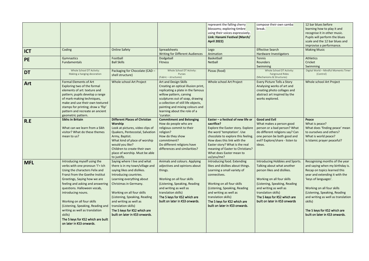|            |                                    |                                      |                                        | represent the falling cherry       | compose their own samba                                          | 12 bar blues before                               |
|------------|------------------------------------|--------------------------------------|----------------------------------------|------------------------------------|------------------------------------------------------------------|---------------------------------------------------|
|            |                                    |                                      |                                        | blossoms; exploring timbre         | break.                                                           | learning how to play it and                       |
|            |                                    |                                      |                                        | using their voices expressively.   |                                                                  | recognise it in other music.                      |
|            |                                    |                                      |                                        | Link: Hanami Festival (March/      |                                                                  | Pupils will perform the blues                     |
|            |                                    |                                      |                                        | <b>April 2022)</b>                 |                                                                  | scale and the 12 bar blues and                    |
|            |                                    |                                      |                                        |                                    |                                                                  | improvise a performance.                          |
| <b>ICT</b> | Coding                             | <b>Online Safety</b>                 | Spreadsheets                           | Lego                               | <b>Effective Search</b>                                          | <b>Making Music</b>                               |
|            |                                    |                                      | <b>Writing for Different Audiences</b> | Animation                          | Hardware Investigators                                           |                                                   |
| <b>PE</b>  | Gymnastics                         | Football<br><b>Ball Skills</b>       | Dodgeball                              | Basketball                         | Tennis                                                           | Athletics<br>Cricket                              |
|            | Fundamentals                       |                                      | <b>Fitness</b>                         | Netball                            | Rounders                                                         |                                                   |
|            | Whole School DT Activity:          | Packaging for Chocolate (CAD -       | Whole School DT Activity:              | Pizzas (food)                      | Swimming<br>Whole School DT Activity:                            | Swimming<br>Digital World - Mindful Moments Timer |
| <b>DT</b>  | Making a hanging decoration        | shell structure)                     | Purses                                 |                                    | <b>Fairground Rides</b>                                          | (Control)                                         |
|            |                                    |                                      | (Fabric - structures)                  |                                    | (Mechanisms & Structures)                                        |                                                   |
| Art        | <b>Formal Elements of Art</b>      | Whole school Art Project             | <b>Art and Design Skills</b>           | Whole school Art Project           | Every Picture Tells a Story                                      | Whole school Art Project                          |
|            | Exploring two of the formal        |                                      | Creating an optical illusion print,    |                                    | Analysing works of art and                                       |                                                   |
|            | elements of art: texture and       |                                      | replicating a plate in the famous      |                                    | creating photo collages and                                      |                                                   |
|            | pattern; pupils develop a range    |                                      | willow pattern, carving                |                                    | abstract art inspired by the                                     |                                                   |
|            | of mark-making techniques,         |                                      | sculptures out of soap, drawing        |                                    | works explored.                                                  |                                                   |
|            | make and use their own textured    |                                      | a collection of still life objects,    |                                    |                                                                  |                                                   |
|            | stamps for printing; draw a 'flip' |                                      | painting and mixing colours and        |                                    |                                                                  |                                                   |
|            | pattern and recreate an ancient    |                                      | learning about the role of a           |                                    |                                                                  |                                                   |
|            | geometric pattern.                 |                                      | 'curator.                              |                                    |                                                                  |                                                   |
| R.E        | <b>Sikhs in Britain</b>            | <b>Different Places of Christian</b> | <b>Commitment and Belonging</b>        | Easter - a festival of new life or | <b>Good and Evil</b>                                             | Peace                                             |
|            |                                    | Worship                              | How do people who are                  | sacrifice?                         | What makes a person good                                         | What is peace?                                    |
|            | What can we learn from a Sikh      | Look at pictures, video clips of     | religious commit to their              | Explore the Easter story. Explore  | person or a bad person? What                                     | What does 'finding peace' mean                    |
|            | visitor? What do these themes      | Quakers, Pentecostal, Salvation      | religion?                              | the word 'temptation'. Use         | do different religions say? Can                                  | to ourselves and others?                          |
|            | mean to us?                        | Army, Baptist.                       | How do they show                       | chocolate to explore this feeling. | one person be both good and                                      | What is world peace?                              |
|            |                                    | What kind of place of worship        | commitment?                            | How does this link with the        | evil? Explore/share - listen to                                  | Is Islamic prayer peaceful?                       |
|            |                                    | would you like?                      | Do different religions have            | Easter story? What is the real     | ideas.                                                           |                                                   |
|            |                                    | Children to create their own         | differences and similarities?          | meaning of Easter to Christians?   |                                                                  |                                                   |
|            |                                    | place of worship. Must be able       |                                        | What does Easter mean to           |                                                                  |                                                   |
|            |                                    | to justify.                          |                                        | us/you/me?                         |                                                                  |                                                   |
| <b>MFL</b> | Introducing myself using the       | Saying where I live and what         | Animals and colours. Applying          | Introducing food. Extending        | Introducing Hobbies and Sports.   Recognising months of the year |                                                   |
|            | verbs with one pronoun 'I' = Ich   | there is in my town/village and      | adjectives and opinions about          | likes and dislikes about things.   | Talking about what another                                       | and saying when my birthday is.                   |
|            | Using the characters Felix and     | saying likes and dislikes.           | things.                                | Learning a small variety of        | person likes and dislikes.                                       | Recap on topics learned this                      |
|            | Franzi from the Goethe Institut    | Introducing countries.               |                                        | connectives.                       |                                                                  | year and extending it with the                    |
|            | Greetings, Saying how we are       | Learning everything about            | Working on all four skills             |                                    | Working on all four skills                                       | 'keys of languages'.                              |
|            | feeling and asking and answering   | Christmas in Germany.                | (Listening, Speaking, Reading          | Working on all four skills         | (Listening, Speaking, Reading                                    |                                                   |
|            | questions. Halloween vocab,        |                                      | and writing as well as                 | (Listening, Speaking, Reading      | and writing as well as                                           | Working on all four skills                        |
|            | introducing nouns.                 | Working on all four skills           | translation skills)                    | and writing as well as             | translation skills)                                              | (Listening, Speaking, Reading                     |
|            |                                    | (Listening, Speaking, Reading        | The 5 keys for KS2 which are           | translation skills)                | The 5 keys for KS2 which are                                     | and writing as well as translation                |
|            | Working on all four skills         | and writing as well as               | built on later in KS3 onwards.         | The 5 keys for KS2 which are       | built on later in KS3 onwards                                    | skills)                                           |
|            | (Listening, Speaking, Reading and  | translation skills)                  |                                        | built on later in KS3 onwards.     |                                                                  |                                                   |
|            | writing as well as translation     | The 5 keys for KS2 which are         |                                        |                                    |                                                                  | The 5 keys for KS2 which are                      |
|            | skills)                            | built on later in KS3 onwards.       |                                        |                                    |                                                                  | built on later in KS3 onwards.                    |
|            | The 5 keys for KS2 which are built |                                      |                                        |                                    |                                                                  |                                                   |
|            | on later in KS3 onwards.           |                                      |                                        |                                    |                                                                  |                                                   |
|            |                                    |                                      |                                        |                                    |                                                                  |                                                   |
|            |                                    |                                      |                                        |                                    |                                                                  |                                                   |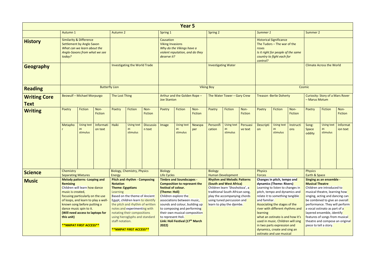|                                    |                                                                                                                                                                                                                                                                                                                                                                    |                                                                                                                                        |                                                                           |                                                                                                                                                                                                                                                                                |                                      |                                                                     |                                                                                                                                                                                                                                                                                | Year 5                                                       |                 |                                                                                                                                                                                                                               |                              |                                  |                                                                                                                                                                                                                                                                                                                                                                              |                                                                                                                                    |                                                  |                                                                                                                                                                                                                                                                                                                                    |                                         |                      |
|------------------------------------|--------------------------------------------------------------------------------------------------------------------------------------------------------------------------------------------------------------------------------------------------------------------------------------------------------------------------------------------------------------------|----------------------------------------------------------------------------------------------------------------------------------------|---------------------------------------------------------------------------|--------------------------------------------------------------------------------------------------------------------------------------------------------------------------------------------------------------------------------------------------------------------------------|--------------------------------------|---------------------------------------------------------------------|--------------------------------------------------------------------------------------------------------------------------------------------------------------------------------------------------------------------------------------------------------------------------------|--------------------------------------------------------------|-----------------|-------------------------------------------------------------------------------------------------------------------------------------------------------------------------------------------------------------------------------|------------------------------|----------------------------------|------------------------------------------------------------------------------------------------------------------------------------------------------------------------------------------------------------------------------------------------------------------------------------------------------------------------------------------------------------------------------|------------------------------------------------------------------------------------------------------------------------------------|--------------------------------------------------|------------------------------------------------------------------------------------------------------------------------------------------------------------------------------------------------------------------------------------------------------------------------------------------------------------------------------------|-----------------------------------------|----------------------|
|                                    | Autumn 1                                                                                                                                                                                                                                                                                                                                                           |                                                                                                                                        |                                                                           | <b>Autumn 2</b>                                                                                                                                                                                                                                                                |                                      |                                                                     | Spring 1                                                                                                                                                                                                                                                                       |                                                              |                 | <b>Spring 2</b>                                                                                                                                                                                                               |                              |                                  | Summer 1                                                                                                                                                                                                                                                                                                                                                                     |                                                                                                                                    |                                                  | Summer 2                                                                                                                                                                                                                                                                                                                           |                                         |                      |
| <b>History</b>                     | today?                                                                                                                                                                                                                                                                                                                                                             | <b>Similarity &amp; Difference</b><br><b>Settlement by Anglo Saxon</b><br>What can we learn about the<br>Anglo-Saxons from what we see |                                                                           |                                                                                                                                                                                                                                                                                |                                      |                                                                     | Causation<br><b>Viking Invasions</b><br>deserve it?                                                                                                                                                                                                                            | Why do the Vikings have a<br>violent reputation, and do they |                 |                                                                                                                                                                                                                               |                              |                                  | roses<br>control?                                                                                                                                                                                                                                                                                                                                                            | <b>Historical Significance</b><br>The Tudors $-$ The war of the<br>Is it right for people of the same<br>country to fight each for |                                                  |                                                                                                                                                                                                                                                                                                                                    |                                         |                      |
| <b>Geography</b>                   |                                                                                                                                                                                                                                                                                                                                                                    |                                                                                                                                        |                                                                           |                                                                                                                                                                                                                                                                                | <b>Investigating the World Trade</b> |                                                                     |                                                                                                                                                                                                                                                                                |                                                              |                 | <b>Investigating Water</b>                                                                                                                                                                                                    |                              |                                  |                                                                                                                                                                                                                                                                                                                                                                              |                                                                                                                                    |                                                  |                                                                                                                                                                                                                                                                                                                                    | <b>Climate Across the World</b>         |                      |
| <b>Reading</b>                     |                                                                                                                                                                                                                                                                                                                                                                    |                                                                                                                                        | <b>Butterfly Lion</b>                                                     |                                                                                                                                                                                                                                                                                |                                      |                                                                     |                                                                                                                                                                                                                                                                                |                                                              |                 | <b>Viking Boy</b>                                                                                                                                                                                                             |                              |                                  |                                                                                                                                                                                                                                                                                                                                                                              |                                                                                                                                    |                                                  | Cosmic                                                                                                                                                                                                                                                                                                                             |                                         |                      |
| <b>Writing Core</b><br><b>Text</b> | <b>Beowulf - Michael Morpurgo</b><br>Fiction<br>Non-<br>Poetry<br>Fiction                                                                                                                                                                                                                                                                                          |                                                                                                                                        |                                                                           | The Lost Thing                                                                                                                                                                                                                                                                 |                                      |                                                                     | <b>Joe Stanton</b>                                                                                                                                                                                                                                                             | Arthur and the Golden Rope -                                 |                 |                                                                                                                                                                                                                               | The Water Tower - Gary Crew  |                                  |                                                                                                                                                                                                                                                                                                                                                                              | <b>Treason -Berlie Doherty</b>                                                                                                     |                                                  | - Marus Motum                                                                                                                                                                                                                                                                                                                      | <b>Curiosity: Story of a Mars Rover</b> |                      |
| <b>Writing</b>                     |                                                                                                                                                                                                                                                                                                                                                                    |                                                                                                                                        |                                                                           | Poetry                                                                                                                                                                                                                                                                         | Fiction                              | Non-<br><b>Fiction</b>                                              | Poetry                                                                                                                                                                                                                                                                         | Fiction                                                      | Non-<br>Fiction | Poetry                                                                                                                                                                                                                        | <b>Fiction</b>               | Non-<br>Fiction                  | Poetry                                                                                                                                                                                                                                                                                                                                                                       | <b>Fiction</b>                                                                                                                     | Non-<br>Fiction                                  | Poetry                                                                                                                                                                                                                                                                                                                             | Fiction                                 | Non-<br>Fiction      |
|                                    | Metapho                                                                                                                                                                                                                                                                                                                                                            | Using text<br>as<br>stimulus                                                                                                           | Informati<br>on text                                                      | Haiki                                                                                                                                                                                                                                                                          | <b>Using text</b><br>as<br>stimulus  | <b>Discussio</b><br>n text                                          | <b>Image</b>                                                                                                                                                                                                                                                                   | Using text<br>as<br>stimulus                                 | Newspa<br>per   | Personifi<br>cation                                                                                                                                                                                                           | Using text<br>as<br>stimulus | Persuasi<br>ve text              | Descripti<br>on                                                                                                                                                                                                                                                                                                                                                              | <b>Using text</b><br>as<br>stimulus                                                                                                | Instructi<br>ons                                 | Song:<br>Space<br>oddity                                                                                                                                                                                                                                                                                                           | Using text<br>as<br>stimulus            | Informat<br>ion text |
| <b>Science</b>                     | Chemistry                                                                                                                                                                                                                                                                                                                                                          |                                                                                                                                        |                                                                           | Energy                                                                                                                                                                                                                                                                         | <b>Biology, Chemistry, Physics</b>   |                                                                     | <b>Biology</b><br><b>Life Cycles</b>                                                                                                                                                                                                                                           |                                                              |                 | <b>Biology</b>                                                                                                                                                                                                                | <b>Human Development</b>     |                                  | <b>Physics</b><br><b>Forces</b>                                                                                                                                                                                                                                                                                                                                              |                                                                                                                                    |                                                  | <b>Physics</b><br>Earth & Space                                                                                                                                                                                                                                                                                                    |                                         |                      |
| <b>Music</b>                       | <b>Separating Mixtures</b><br><b>Melody patterns -Looping and</b><br><b>Remixing</b><br>Children will learn how dance<br>music is created,<br>focusing particularly on the use<br>of loops, and learn to play a well-<br>known song before putting a<br>dance music spin to it.<br>(Will need access to laptops for<br>this unit)<br><b>**NMPAT FIRST ACCESS**</b> |                                                                                                                                        | <b>Notation</b><br><b>Theme: Egyptians</b><br>Learning<br>staff notation. | <b>Pitch and rhythm - Composing</b><br>Based on the theme of Ancient<br>Egypt, children learn to identify<br>the pitch and rhythm of written<br>notes and experimenting with<br>notating their compositions<br>using hieroglyphs and standard<br><b>**NMPAT FIRST ACCESS**</b> |                                      | festival of colour.<br>(Theme: Holi)<br>to represent Holi.<br>2022) | <b>Timbre and Soundscapes -</b><br><b>Composition to represent the</b><br>Children explore the<br>associations between music,<br>sounds and colour, building up<br>to composing and performing<br>their own musical composition<br>Link: Holi Festival (17 <sup>th</sup> March |                                                              |                 | <b>Rhythm and Melodic Patterns</b><br>(South and West Africa)<br>Children learn 'Shosholoza', a<br>traditional South African song,<br>play the accompanying chords<br>using tuned percussion and<br>learn to play the djembe. |                              | and familiar.<br><b>learning</b> | Changes in pitch, tempo and<br>dynamics (Theme: Rivers)<br>Learning to listen to changes in<br>pitch, tempo and dynamics and<br>relate it to something tangible<br>Associating the stages of the<br>river with different rhythms and<br>what an ostinato is and how it's<br>used in music. Children will sing<br>in two parts expression and<br>dynamics, create and sing an |                                                                                                                                    | <b>Musical Theatre</b><br>piece to tell a story. | Singing as an ensemble -<br>Children are introduced to<br>musical theatre, learning how<br>singing, acting and dancing can<br>be combined to give an overall<br>performance. They will perform<br>a vocal ostinato as part of a<br>layered ensemble, identify<br>features of songs from musical<br>theatre and compose an original |                                         |                      |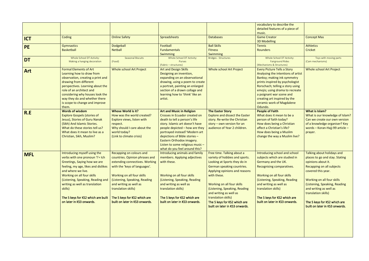|            |                                                                                                                                                                                                                                                                                                                                                 |                                                                                                                                                                                                                                                                                                                 |                                                                                                                                                                                                                                                                                                                                             |                                                                                                                                                                                                                                                                                                                                                              | vocabulary to describe the<br>detailed features of a piece of<br>music.                                                                                                                                                                                                                                               |                                                                                                                                                                                                                                                                                                                         |
|------------|-------------------------------------------------------------------------------------------------------------------------------------------------------------------------------------------------------------------------------------------------------------------------------------------------------------------------------------------------|-----------------------------------------------------------------------------------------------------------------------------------------------------------------------------------------------------------------------------------------------------------------------------------------------------------------|---------------------------------------------------------------------------------------------------------------------------------------------------------------------------------------------------------------------------------------------------------------------------------------------------------------------------------------------|--------------------------------------------------------------------------------------------------------------------------------------------------------------------------------------------------------------------------------------------------------------------------------------------------------------------------------------------------------------|-----------------------------------------------------------------------------------------------------------------------------------------------------------------------------------------------------------------------------------------------------------------------------------------------------------------------|-------------------------------------------------------------------------------------------------------------------------------------------------------------------------------------------------------------------------------------------------------------------------------------------------------------------------|
| <b>ICT</b> | Coding                                                                                                                                                                                                                                                                                                                                          | <b>Online Safety</b>                                                                                                                                                                                                                                                                                            | Spreadsheets                                                                                                                                                                                                                                                                                                                                | <b>Databases</b>                                                                                                                                                                                                                                                                                                                                             | <b>Game Creator</b><br><b>3D Modelling</b>                                                                                                                                                                                                                                                                            | <b>Concept Mas</b>                                                                                                                                                                                                                                                                                                      |
| <b>PE</b>  | <b>Gymnastics</b><br><b>Basketball</b>                                                                                                                                                                                                                                                                                                          | <b>Dodgeball</b><br><b>Netball</b>                                                                                                                                                                                                                                                                              | Football<br><b>Fundamentals</b><br>Swimming                                                                                                                                                                                                                                                                                                 | <b>Ball Skills</b><br><b>Fitness</b><br>Swimming                                                                                                                                                                                                                                                                                                             | <b>Tennis</b><br>Rounders                                                                                                                                                                                                                                                                                             | <b>Athletics</b><br>Cricket                                                                                                                                                                                                                                                                                             |
| <b>DT</b>  | Whole School DT Activity:<br>Making a hanging decoration                                                                                                                                                                                                                                                                                        | Seasonal Biscuits<br>(Food)                                                                                                                                                                                                                                                                                     | Whole School DT Activity:<br>Purses<br>(Fabric - structures)                                                                                                                                                                                                                                                                                | <b>Bridges - Structures</b>                                                                                                                                                                                                                                                                                                                                  | Whole School DT Activity:<br><b>Fairground Rides</b><br>(Mechanisms & Structures)                                                                                                                                                                                                                                     | Toys with moving parts<br>(Cam mechanisms)                                                                                                                                                                                                                                                                              |
| <b>Art</b> | <b>Formal Elements of Art</b><br>Learning how to draw from<br>observation, creating a print and<br>drawing from different<br>perspectives. Learning about the<br>role of an architect and<br>considering why houses look the<br>way they do and whether there<br>is scope to change and improve<br>them.                                        | <b>Whole school Art Project</b>                                                                                                                                                                                                                                                                                 | <b>Art and Design Skills</b><br>Designing an invention,<br>expanding on an observational<br>drawing, using a poem to create<br>a portrait, painting an enlarged<br>section of a drawn collage and<br>learning how to 'think' like an<br>artist.                                                                                             | <b>Whole school Art Project</b>                                                                                                                                                                                                                                                                                                                              | <b>Every Picture Tells a Story</b><br>Analysing the intentions of artist<br>Banksy; making ink symmetry<br>prints inspired by psychologist<br>Rorschach; telling a story using<br>emojis; using drama to recreate<br>a poignant war scene and<br>creating art inspired by the<br>ceramic work of Magdalene<br>Odundo. | Whole school Art Project                                                                                                                                                                                                                                                                                                |
| R.E        | <b>Words of wisdom</b><br><b>Explore Gospels (stories of</b><br>Jesus), Stories of Guru Nanak<br>(Sikh) And Islamic Stories.<br>What do these stories tell us?<br>What does it mean to live as a<br>Christian, Sikh, Muslim?                                                                                                                    | <b>Whose World is it?</b><br>How was the world created?<br>Explore views, listen with<br>respect.<br>Why should I care about the<br>world today?<br>(Link to climate crisis)                                                                                                                                    | <b>Art and Music in Religion</b><br>Crosses in Ecuador created on<br>death to tell a person's life<br>story. Islamic art doesn't have<br>people depicted - how are they<br>portrayed instead? Modern art<br>depictions of Bible stories -<br>Eastern Orthodox imagery.<br>Listen to some religious music -<br>what do you feel around this? | <b>The Easter Story</b><br><b>Explore and dissect the Easter</b><br>story. Re-write the Christian<br>story $-$ own version for an<br>audience of Year 2 children.                                                                                                                                                                                            | <b>People of Faith</b><br>What does it mean to be a<br>person of faith today?<br>How does being a Christian<br>affect a Christian's life?<br>How does being a Muslim<br>change the way a Muslim live?                                                                                                                 | What is Islam?<br>What is our knowledge of Islam?<br>Can we create our own version<br>of a knowledge organiser? Key<br>words - Koran-Hajj-99 article -<br>prayer.                                                                                                                                                       |
| <b>MFL</b> | Introducing myself using the<br>verbs with one pronoun 'I' = Ich<br>Greetings, Saying how we are<br>feeling, my age, likes and dislikes<br>and where we live.<br>Working on all four skills<br>(Listening, Speaking, Reading and<br>writing as well as translation<br>skills)<br>The 5 keys for KS2 which are built<br>on later in KS3 onwards. | Recapping on colours and<br>countries. Opinion phrases and<br>extending connectives. Working<br>with the 'keys of languages'.<br>Working on all four skills<br>(Listening, Speaking, Reading<br>and writing as well as<br>translation skills)<br>The 5 keys for KS2 which are<br>built on later in KS3 onwards. | Introducing animals and family<br>members. Applying adjectives<br>with these.<br>Working on all four skills<br>(Listening, Speaking, Reading<br>and writing as well as<br>translation skills)<br>The 5 keys for KS2 which are<br>built on later in KS3 onwards.                                                                             | Free time. Talking about a<br>variety of hobbies and sports.<br>Looking at Sports they do in<br>German speaking countries.<br>Applying opinions and reasons<br>with these.<br>Working on all four skills<br>(Listening, Speaking, Reading<br>and writing as well as<br>translation skills)<br>The 5 keys for KS2 which are<br>built on later in KS3 onwards. | Introducing school and school<br>subjects which are studied in<br>Germany and the UK.<br>Recognising comparatives.<br>Working on all four skills<br>(Listening, Speaking, Reading<br>and writing as well as<br>translation skills)<br>The 5 keys for KS2 which are<br>built on later in KS3 onwards.                  | Talking about holidays and<br>places to go and stay. Stating<br>opinions about it.<br>Recapping on all subjects<br>covered this year.<br>Working on all four skills<br>(Listening, Speaking, Reading<br>and writing as well as<br>translation skills)<br>The 5 keys for KS2 which are<br>built on later in KS3 onwards. |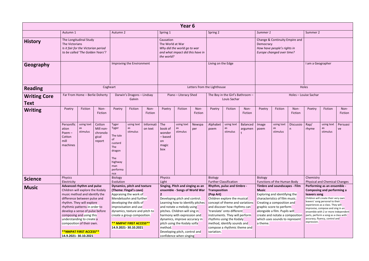|                             |                                                                                                                                                                                                                                                                                                                                                                                       |                                                                                                   |                      |                                                                                                                                                                                                                                                      |                                      |                         |                                                                                                                                                                                                                                                                                                                               | Year <sub>6</sub>                                               |                                          |                                                                                                                                                                                                                                                            |                                                             |                          |                                                                                                                                                                                                                                 |                                                                                            |                             |                                                                                                                                                                                                                                                                                                  |                                                                     |  |
|-----------------------------|---------------------------------------------------------------------------------------------------------------------------------------------------------------------------------------------------------------------------------------------------------------------------------------------------------------------------------------------------------------------------------------|---------------------------------------------------------------------------------------------------|----------------------|------------------------------------------------------------------------------------------------------------------------------------------------------------------------------------------------------------------------------------------------------|--------------------------------------|-------------------------|-------------------------------------------------------------------------------------------------------------------------------------------------------------------------------------------------------------------------------------------------------------------------------------------------------------------------------|-----------------------------------------------------------------|------------------------------------------|------------------------------------------------------------------------------------------------------------------------------------------------------------------------------------------------------------------------------------------------------------|-------------------------------------------------------------|--------------------------|---------------------------------------------------------------------------------------------------------------------------------------------------------------------------------------------------------------------------------|--------------------------------------------------------------------------------------------|-----------------------------|--------------------------------------------------------------------------------------------------------------------------------------------------------------------------------------------------------------------------------------------------------------------------------------------------|---------------------------------------------------------------------|--|
|                             | Autumn 1                                                                                                                                                                                                                                                                                                                                                                              |                                                                                                   |                      | Autumn 2                                                                                                                                                                                                                                             |                                      |                         | Spring 1                                                                                                                                                                                                                                                                                                                      |                                                                 |                                          | Spring 2                                                                                                                                                                                                                                                   |                                                             |                          | Summer 1                                                                                                                                                                                                                        |                                                                                            |                             | Summer 2                                                                                                                                                                                                                                                                                         |                                                                     |  |
| <b>History</b>              | The Victorians                                                                                                                                                                                                                                                                                                                                                                        | The Longitudinal Study<br>Is it fair for the Victorian period<br>to be called 'The Golden Years'? |                      |                                                                                                                                                                                                                                                      |                                      |                         | Causation<br>The World at War<br>the world?                                                                                                                                                                                                                                                                                   | Why did the world go to war<br>and what impact did this have in |                                          |                                                                                                                                                                                                                                                            |                                                             |                          | Democracy                                                                                                                                                                                                                       | Change & Continuity Empire and<br>How have people's rights in<br>Europe changed over time? |                             |                                                                                                                                                                                                                                                                                                  |                                                                     |  |
| Geography                   |                                                                                                                                                                                                                                                                                                                                                                                       |                                                                                                   |                      |                                                                                                                                                                                                                                                      | Improving the Environment            |                         |                                                                                                                                                                                                                                                                                                                               |                                                                 |                                          | Living on the Edge                                                                                                                                                                                                                                         |                                                             |                          |                                                                                                                                                                                                                                 |                                                                                            |                             | I am a Geographer                                                                                                                                                                                                                                                                                |                                                                     |  |
| <b>Reading</b>              |                                                                                                                                                                                                                                                                                                                                                                                       |                                                                                                   |                      | Cogheart                                                                                                                                                                                                                                             |                                      |                         |                                                                                                                                                                                                                                                                                                                               |                                                                 |                                          | Letters from the Lighthouse                                                                                                                                                                                                                                |                                                             |                          |                                                                                                                                                                                                                                 |                                                                                            |                             | Holes                                                                                                                                                                                                                                                                                            |                                                                     |  |
| <b>Writing Core</b><br>Text | Far From Home - Berlie Doherty<br>Fiction<br>Non-<br>Poetry<br>Fiction                                                                                                                                                                                                                                                                                                                |                                                                                                   |                      |                                                                                                                                                                                                                                                      | Darwin's Dragons - Lindsay<br>Galvin |                         |                                                                                                                                                                                                                                                                                                                               | Piano - Literacy Shed                                           |                                          |                                                                                                                                                                                                                                                            | The Boy in the Girl's Bathroom -<br>Louis Sachar            |                          |                                                                                                                                                                                                                                 |                                                                                            |                             | Holes - Louise Sachar                                                                                                                                                                                                                                                                            |                                                                     |  |
| <b>Writing</b>              | Fiction<br>Non-<br>Poetry<br>Fiction                                                                                                                                                                                                                                                                                                                                                  |                                                                                                   | Poetry               | Fiction                                                                                                                                                                                                                                              | Non-<br>Fiction                      | Poetry                  | Fiction                                                                                                                                                                                                                                                                                                                       | Non-<br>Fiction                                                 | Poetry                                   | Fiction                                                                                                                                                                                                                                                    | Non-<br>Fiction                                             | Poetry                   | Fiction                                                                                                                                                                                                                         | Non-<br>Fiction                                                                            |                             |                                                                                                                                                                                                                                                                                                  |                                                                     |  |
|                             | Personific<br>using text<br>Cotton<br>Tyger<br>using text<br>as<br>Tyger<br>as<br>Mill non-<br>ation<br>stimulus<br>stimulus<br>chronolo<br>$Poem -$<br>The tale<br>Cotton<br>gical<br>οf<br>mill<br>report<br>custard<br>machines<br>The<br>dragon<br>The<br>highway<br>man<br>performa                                                                                              |                                                                                                   | Informati<br>on text | The<br>book of<br>wonder<br>- based<br>on<br>magic<br>box                                                                                                                                                                                            | using text<br>as<br>stimulus         | Newspa<br>per           | Alphabet<br>poem                                                                                                                                                                                                                                                                                                              | using text<br>as<br>stimulus                                    | Balanced<br>argumen                      | Image<br>poem                                                                                                                                                                                                                                              | using text<br>as<br>stimulus                                | Discussio<br>n           | Rap/<br>rhyme                                                                                                                                                                                                                   | using text<br>as<br>stimulus                                                               | Persuasi<br>ve              |                                                                                                                                                                                                                                                                                                  |                                                                     |  |
| <b>Science</b>              | <b>Physics</b><br>Electricity                                                                                                                                                                                                                                                                                                                                                         |                                                                                                   |                      | nce<br><b>Biology</b><br>Evolution                                                                                                                                                                                                                   | Dynamics, pitch and texture          |                         | Physics<br>Light                                                                                                                                                                                                                                                                                                              | Singing, Pitch and singing as an                                |                                          | <b>Biology</b>                                                                                                                                                                                                                                             | <b>Further Classification</b><br>Rhythm, pulse and timbre - |                          | <b>Biology</b>                                                                                                                                                                                                                  | Functions of the Human Body<br>Timbre and soundscapes - Film                               |                             | Chemistry                                                                                                                                                                                                                                                                                        | <b>Physical and Chemical Changes</b><br>Performing as an ensemble - |  |
| <b>Music</b>                | <b>Advanced rhythm and pulse</b><br>Children will explore the Kodaly<br>music method and identify the<br>difference between pulse and<br>rhythm. They will explore<br>rhythmic patterns in order to<br>develop a sense of pulse before<br>composing and using this<br>understanding to create a<br>composition of their own.<br><b>**NMPAT FIRST ACCESS**</b><br>14.9.2021-30.10.2021 |                                                                                                   |                      | (Theme: Fingal's cave)<br>Appraising the work of<br>Mendelssohn and further<br>developing the skills of<br>improvisation and use<br>dynamics, texture and pitch to<br>create a group composition.<br>** NMPAT FIRST ACCESS**<br>14.9.2021-30.10.2021 |                                      | $\mathbf{2}$<br>method. | ensemble - Songs of World War<br>Developing pitch and control.<br>Learning how to identify pitches<br>and notate a melody using<br>pitches. Children will sing in<br>harmony with expression and<br>dynamics, improve accuracy in<br>pitch using the Kodaly solfa<br>Developing pitch, control and<br>confidence when singing |                                                                 | Transposition<br>(Pop Art)<br>variation. | Children explore the musical<br>concept of theme and variations<br>and discover how rhythms can<br>'translate' onto different<br>instruments. They will perform<br>rhythms using the Kodaly<br>method, identify sounds and<br>compose a rhythmic theme and |                                                             | <b>Music</b><br>a theme. | Exploring and identifying the<br>characteristics of film music.<br>Creating a composition and<br>graphic score to perform<br>alongside a film. Pupils will<br>create and notate a composition<br>which uses sounds to represent |                                                                                            | leavers song<br>expression. | Composing and performing a<br>Children will create their very own<br>leavers' song personal to their<br>experiences as a class. They will<br>improvise, compose and sing in an<br>ensemble with 2 or more independent<br>parts, perform a song as a class with<br>accuracy, fluency, control and |                                                                     |  |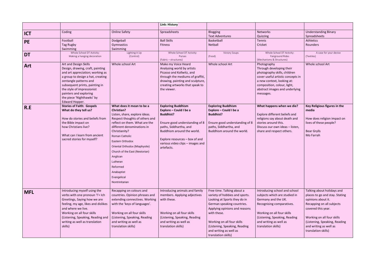|            |                                                                                                                                                                                                                                                                                                       |                                                                                                                                                                                                                                                                                                                                                                                                | Link: History                                                                                                                                                                                                                                         |                                                                                                                                                                                                                                                                                            |                                                                                                                                                                                                                                    |
|------------|-------------------------------------------------------------------------------------------------------------------------------------------------------------------------------------------------------------------------------------------------------------------------------------------------------|------------------------------------------------------------------------------------------------------------------------------------------------------------------------------------------------------------------------------------------------------------------------------------------------------------------------------------------------------------------------------------------------|-------------------------------------------------------------------------------------------------------------------------------------------------------------------------------------------------------------------------------------------------------|--------------------------------------------------------------------------------------------------------------------------------------------------------------------------------------------------------------------------------------------------------------------------------------------|------------------------------------------------------------------------------------------------------------------------------------------------------------------------------------------------------------------------------------|
| <b>ICT</b> | Coding                                                                                                                                                                                                                                                                                                | <b>Online Safety</b>                                                                                                                                                                                                                                                                                                                                                                           | Spreadsheets                                                                                                                                                                                                                                          | <b>Blogging</b><br><b>Text Adventures</b>                                                                                                                                                                                                                                                  | <b>Networks</b><br>Quizzing                                                                                                                                                                                                        |
| <b>PE</b>  | Football<br>Tag Rugby<br>Swimming                                                                                                                                                                                                                                                                     | Dodgeball<br>Gymnastics<br>Swimming                                                                                                                                                                                                                                                                                                                                                            | <b>Ball Skills</b><br><b>Fitness</b>                                                                                                                                                                                                                  | Basketball<br>Netball                                                                                                                                                                                                                                                                      | Tennis<br>Cricket                                                                                                                                                                                                                  |
| <b>DT</b>  | Whole School DT Activity:<br>Making a hanging decoration                                                                                                                                                                                                                                              | Lighting it Up<br>(Control)                                                                                                                                                                                                                                                                                                                                                                    | Whole School DT Activity:<br>Purses<br>(Fabric - structures)                                                                                                                                                                                          | <b>Victory Soups</b><br>(Food)                                                                                                                                                                                                                                                             | Whole School DT Activity:<br>Fairground Rides<br>(Mechanisms & Structures)                                                                                                                                                         |
| Art        | Art and Design Skills<br>Design, drawing, craft, painting<br>and art appreciation; working as<br>a group to design a hat, creating<br>zentangle patterns and<br>subsequent prints, painting in<br>the style of impressionist<br>painters and exploring<br>the piece 'Nighthawks' by<br>Edward Hopper. | Whole school Art                                                                                                                                                                                                                                                                                                                                                                               | Make my Voice Heard<br>Analysing world by artists<br>Picasso and Kollwitz, and<br>through the mediums of graffiti,<br>drawing, painting and sculpture,<br>creating artworks that speak to<br>the viewer.                                              | Whole school Art                                                                                                                                                                                                                                                                           | Photography<br>Through developing their<br>photography skills, children<br>cover useful artistic concepts in<br>a new context, looking at:<br>composition, colour, light,<br>abstract images and underlying<br>messages.           |
| R.E        | <b>Stories of Faith: Gospels</b><br>What do they tell us?<br>How do stories and beliefs from<br>the Bible impact on<br>how Christians live?<br>What can I learn from ancient<br>sacred stories for myself?                                                                                            | What does it mean to be a<br><b>Christian?</b><br>Listen, share, explore ideas.<br>Respect thoughts of others and<br>reflect on them. What are the<br>different denominations in<br>Christianity?<br>Roman Catholic<br>Eastern Orthodox<br>Oriental Orthodox (Miaphysite)<br>Church of the East (Nestorian)<br>Anglican<br>Lutheran<br>Reformed<br>Anabaptist<br>Evangelical<br>Nontrinitarian | <b>Exploring Buddhism</b><br>Explore - Could I be a<br><b>Buddhist?</b><br>Ensure good understanding of 8<br>paths, Siddhartha, and<br>Buddhism around the world.<br>Explore resources - box of and<br>various video clips - images and<br>artefacts. | <b>Exploring Buddhism</b><br>Explore - Could I be a<br><b>Buddhist?</b><br>Ensure good understanding of 8<br>paths, Siddhartha, and<br>Buddhism around the world.                                                                                                                          | What happens when we die?<br>Explore different beliefs and<br>religions say about death and<br>stories around this.<br>Discuss our own ideas - listen,<br>share and respect others.                                                |
| <b>MFL</b> | Introducing myself using the<br>verbs with one pronoun 'I' = Ich<br>Greetings, Saying how we are<br>feeling, my age, likes and dislikes<br>and where we live.<br>Working on all four skills<br>(Listening, Speaking, Reading and<br>writing as well as translation<br>skills)                         | Recapping on colours and<br>countries. Opinion phrases and<br>extending connectives. Working<br>with the 'keys of languages'.<br>Working on all four skills<br>(Listening, Speaking, Reading<br>and writing as well as<br>translation skills)                                                                                                                                                  | Introducing animals and family<br>members. Applying adjectives<br>with these.<br>Working on all four skills<br>(Listening, Speaking, Reading<br>and writing as well as<br>translation skills)                                                         | Free time. Talking about a<br>variety of hobbies and sports.<br>Looking at Sports they do in<br>German speaking countries.<br>Applying opinions and reasons<br>with these.<br>Working on all four skills<br>(Listening, Speaking, Reading<br>and writing as well as<br>translation skills) | Introducing school and school<br>subjects which are studied in<br>Germany and the UK.<br>Recognising comparatives.<br>Working on all four skills<br>(Listening, Speaking, Reading<br>and writing as well as<br>translation skills) |

| <b>Networks</b>                               | <b>Understanding Binary</b>          |
|-----------------------------------------------|--------------------------------------|
| Quizzing                                      | Spreadsheets                         |
| Tennis                                        | <b>Athletics</b>                     |
| Cricket                                       | <b>Rounders</b>                      |
|                                               |                                      |
| Whole School DT Activity:<br>Fairground Rides | A case for your device<br>(Textiles) |
| (Mechanisms & Structures)                     |                                      |
| Photography                                   | Whole school Art                     |
| Through developing their                      |                                      |
| photography skills, children                  |                                      |
| cover useful artistic concepts in             |                                      |
| a new context, looking at:                    |                                      |
| composition, colour, light,                   |                                      |
| abstract images and underlying                |                                      |
| messages.                                     |                                      |
|                                               |                                      |
| What happens when we die?                     | Key Religious figures in the         |
|                                               | media                                |
| Explore different beliefs and                 |                                      |
| religions say about death and                 | How does religion impact on          |
| stories around this.                          | lives of these people?               |
| Discuss our own ideas - listen,               |                                      |
| share and respect others.                     | <b>Bear Grylls</b>                   |
|                                               | Mo Farrah                            |
|                                               |                                      |
|                                               |                                      |
|                                               |                                      |
|                                               |                                      |
|                                               |                                      |
|                                               |                                      |
|                                               |                                      |
|                                               |                                      |
|                                               |                                      |
|                                               |                                      |
|                                               |                                      |
| Introducing school and school                 | Talking about holidays and           |
| subjects which are studied in                 | places to go and stay. Stating       |
| Germany and the UK.                           | opinions about it.                   |
| Recognising comparatives.                     | Recapping on all subjects            |
|                                               | covered this year.                   |
| Working on all four skills                    |                                      |
| (Listening, Speaking, Reading                 | Working on all four skills           |
| and writing as well as                        | (Listening, Speaking, Reading        |
| translation skills)                           | and writing as well as               |
|                                               | translation skills)                  |
|                                               |                                      |